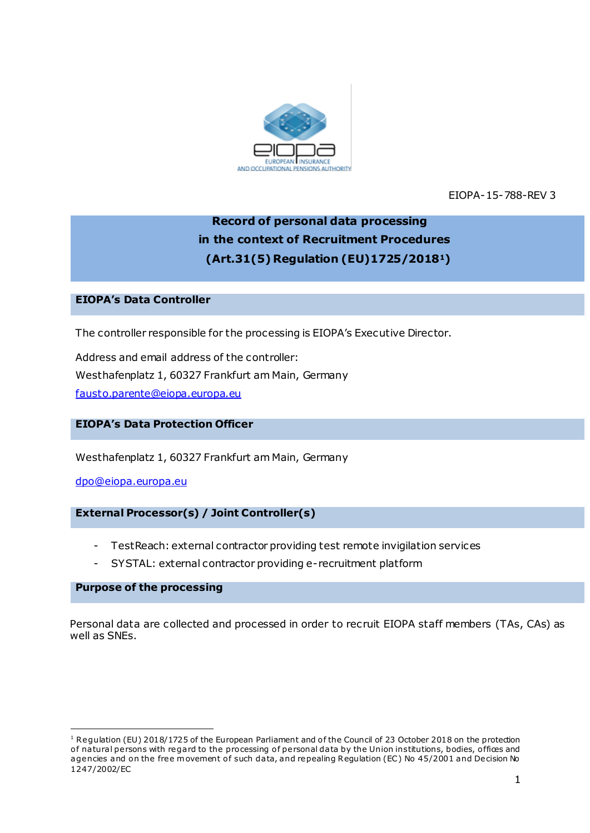

EIOPA-15-788-REV 3

# **Record of personal data processing in the context of Recruitment Procedures (Art.31(5) Regulation (EU)1725/20181)**

## **EIOPA's Data Controller**

The controller responsible for the processing is EIOPA's Executive Director.

Address and email address of the controller: Westhafenplatz 1, 60327 Frankfurt am Main, Germany [fausto.parente@eiopa.europa.eu](mailto:fausto.parente@eiopa.europa.eu)

#### **EIOPA's Data Protection Officer**

Westhafenplatz 1, 60327 Frankfurt am Main, Germany

[dpo@eiopa.europa.eu](mailto:dpo@eiopa.europa.eu)

#### **External Processor(s) / Joint Controller(s)**

- TestReach: external contractor providing test remote invigilation services
- SYSTAL: external contractor providing e-recruitment platform

#### **Purpose of the processing**

.

Personal data are collected and processed in order to recruit EIOPA staff members (TAs, CAs) as well as SNEs.

<sup>&</sup>lt;sup>1</sup> Regulation (EU) 2018/1725 of the European Parliament and of the Council of 23 October 2018 on the protection of natural persons with regard to the processing of personal data by the Union institutions, bodies, offices and agencies and on the free movement of such data, and repealing Regulation (EC) No 45/2001 and Decision No 1247/2002/EC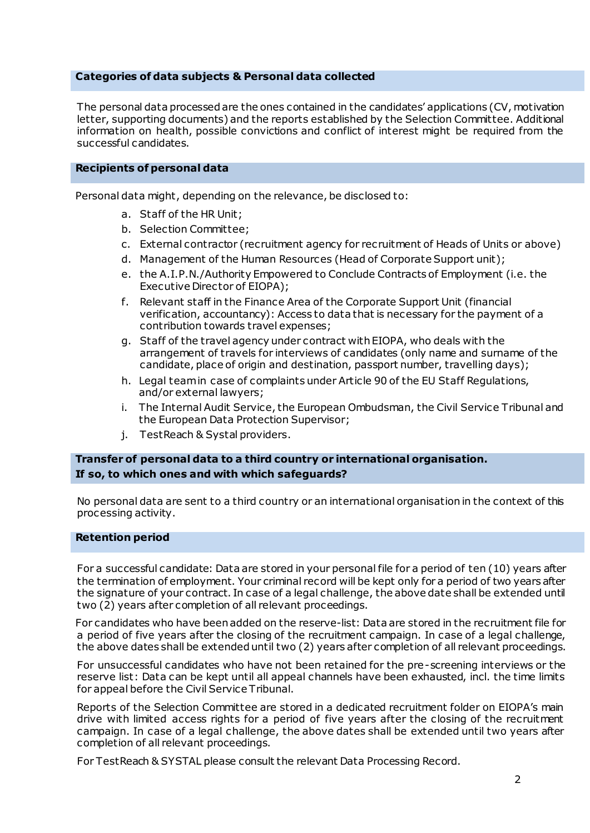#### **Categories of data subjects & Personal data collected**

The personal data processed are the ones contained in the candidates' applications (CV, motivation letter, supporting documents) and the reports established by the Selection Committee. Additional information on health, possible convictions and conflict of interest might be required from the successful candidates.

#### **Recipients of personal data**

Personal data might, depending on the relevance, be disclosed to:

- a. Staff of the HR Unit;
- b. Selection Committee;
- c. External contractor (recruitment agency for recruitment of Heads of Units or above)
- d. Management of the Human Resources (Head of Corporate Support unit);
- e. the A.I.P.N./Authority Empowered to Conclude Contracts of Employment (i.e. the Executive Director of EIOPA);
- f. Relevant staff in the Finance Area of the Corporate Support Unit (financial verification, accountancy): Access to data that is necessary for the payment of a contribution towards travel expenses;
- g. Staff of the travel agency under contract with EIOPA, who deals with the arrangement of travels for interviews of candidates (only name and surname of the candidate, place of origin and destination, passport number, travelling days);
- h. Legal team in case of complaints under Article 90 of the EU Staff Regulations, and/or external lawyers;
- i. The Internal Audit Service, the European Ombudsman, the Civil Service Tribunal and the European Data Protection Supervisor;
- j. TestReach & Systal providers.

### **Transfer of personal data to a third country or international organisation. If so, to which ones and with which safeguards?**

No personal data are sent to a third country or an international organisation in the context of this processing activity.

#### **Retention period**

For a successful candidate: Data are stored in your personal file for a period of ten (10) years after the termination of employment. Your criminal record will be kept only for a period of two years after the signature of your contract. In case of a legal challenge, the above date shall be extended until two (2) years after completion of all relevant proceedings.

For candidates who have been added on the reserve-list: Data are stored in the recruitment file for a period of five years after the closing of the recruitment campaign. In case of a legal challenge, the above dates shall be extended until two (2) years after completion of all relevant proceedings.

For unsuccessful candidates who have not been retained for the pre-screening interviews or the reserve list: Data can be kept until all appeal channels have been exhausted, incl. the time limits for appeal before the Civil Service Tribunal.

Reports of the Selection Committee are stored in a dedicated recruitment folder on EIOPA's main drive with limited access rights for a period of five years after the closing of the recruitment campaign. In case of a legal challenge, the above dates shall be extended until two years after completion of all relevant proceedings.

For TestReach & SYSTAL please consult the relevant Data Processing Record.